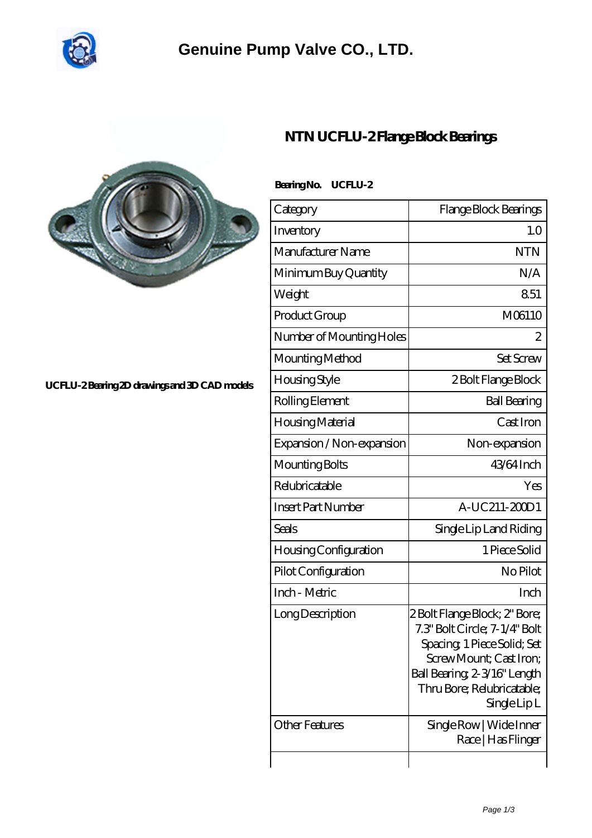

## **[Genuine Pump Valve CO., LTD.](https://m.communitylink.net)**



#### **[UCFLU-2 Bearing 2D drawings and 3D CAD models](https://m.communitylink.net/pic-383244.html)**

### **[NTN UCFLU-2 Flange Block Bearings](https://m.communitylink.net/ntn-ucflu-2-bearing/)**

### **Bearing No. UCFLU-2**

| Category                  | Flange Block Bearings                                                                                                                                                                               |
|---------------------------|-----------------------------------------------------------------------------------------------------------------------------------------------------------------------------------------------------|
| Inventory                 | 1.0                                                                                                                                                                                                 |
| Manufacturer Name         | <b>NTN</b>                                                                                                                                                                                          |
| Minimum Buy Quantity      | N/A                                                                                                                                                                                                 |
| Weight                    | 851                                                                                                                                                                                                 |
| Product Group             | M06110                                                                                                                                                                                              |
| Number of Mounting Holes  | 2                                                                                                                                                                                                   |
| Mounting Method           | <b>Set Screw</b>                                                                                                                                                                                    |
| <b>Housing Style</b>      | 2 Bolt Flange Block                                                                                                                                                                                 |
| Rolling Element           | <b>Ball Bearing</b>                                                                                                                                                                                 |
| Housing Material          | Cast Iron                                                                                                                                                                                           |
| Expansion / Non-expansion | Non-expansion                                                                                                                                                                                       |
| Mounting Bolts            | 43/64 Inch                                                                                                                                                                                          |
| Relubricatable            | Yes                                                                                                                                                                                                 |
| <b>Insert Part Number</b> | A-UC211-20001                                                                                                                                                                                       |
| Seals                     | Single Lip Land Riding                                                                                                                                                                              |
| Housing Configuration     | 1 Piece Solid                                                                                                                                                                                       |
| Pilot Configuration       | No Pilot                                                                                                                                                                                            |
| Inch - Metric             | Inch                                                                                                                                                                                                |
| Long Description          | 2 Bolt Flange Block; 2" Bore;<br>7.3" Bolt Circle; 7-1/4" Bolt<br>Spacing, 1 Piece Solid; Set<br>Screw Mount: Cast Iron:<br>Ball Bearing 2-3/16" Length<br>Thru Bore; Relubricatable;<br>SingleLipL |
| <b>Other Features</b>     | Single Row   Wide Inner<br>Race   Has Flinger                                                                                                                                                       |
|                           |                                                                                                                                                                                                     |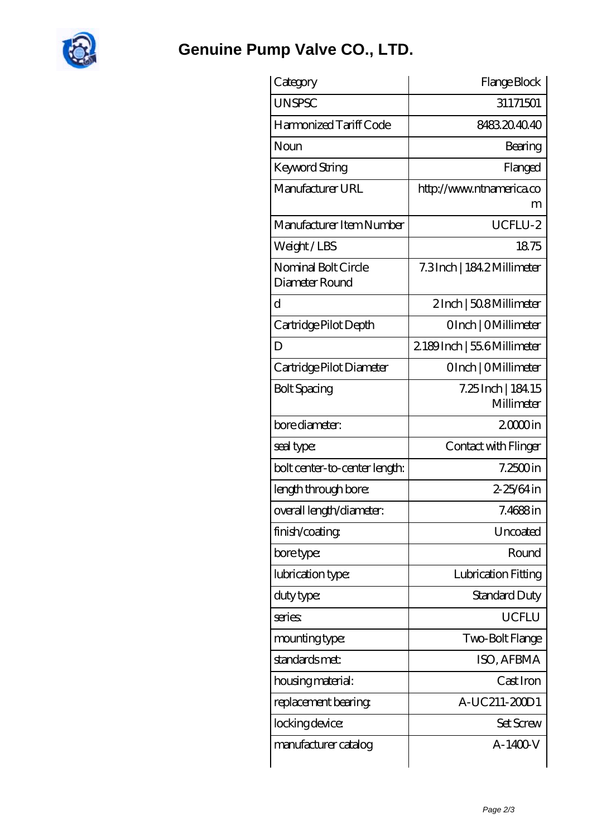

**[Genuine Pump Valve CO., LTD.](https://m.communitylink.net)**

| Category                              | Flange Block                      |
|---------------------------------------|-----------------------------------|
| <b>UNSPSC</b>                         | 31171501                          |
| Harmonized Tariff Code                | 8483204040                        |
| Noun                                  | Bearing                           |
| Keyword String                        | Flanged                           |
| Manufacturer URL                      | http://www.ntnamerica.co          |
|                                       | m                                 |
| Manufacturer Item Number              | UCFLU-2                           |
| Weight / LBS                          | 1875                              |
| Nominal Bolt Circle<br>Diameter Round | 7.3Inch   184.2Millimeter         |
| d                                     | 2Inch   508 Millimeter            |
| Cartridge Pilot Depth                 | OInch   OMillimeter               |
| D                                     | 2189Inch   55.6Millimeter         |
| Cartridge Pilot Diameter              | OInch   OMillimeter               |
| <b>Bolt Spacing</b>                   | 7.25 Inch   184. 15<br>Millimeter |
| bore diameter:                        | $2000$ in                         |
| seal type:                            | Contact with Flinger              |
| bolt center-to-center length:         | $7.2500$ in                       |
| length through bore:                  | 2-25/64 in                        |
| overall length/diameter:              | $7.4688$ in                       |
| finish/coating                        | Uncoated                          |
| bore type:                            | Round                             |
| lubrication type:                     | Lubrication Fitting               |
| duty type:                            | <b>Standard Duty</b>              |
| series                                | <b>UCFLU</b>                      |
| mounting type:                        | Two-Bolt Flange                   |
| standards met:                        | ISO, AFBMA                        |
| housing material:                     | Cast Iron                         |
| replacement bearing.                  | A-UC211-20001                     |
| locking device:                       | <b>Set Screw</b>                  |
| manufacturer catalog                  | A-1400-V                          |